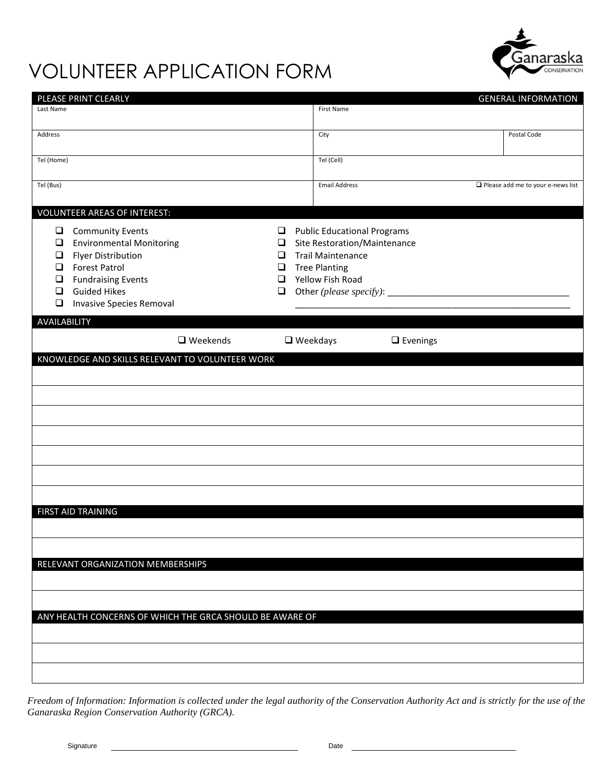

## VOLUNTEER APPLICATION FORM

|                                                          | PLEASE PRINT CLEARLY                            |        |  |                                    |  | <b>GENERAL INFORMATION</b>                  |  |
|----------------------------------------------------------|-------------------------------------------------|--------|--|------------------------------------|--|---------------------------------------------|--|
| Last Name                                                |                                                 |        |  | First Name                         |  |                                             |  |
|                                                          |                                                 |        |  |                                    |  |                                             |  |
| Address                                                  |                                                 |        |  | City                               |  | Postal Code                                 |  |
| Tel (Home)                                               |                                                 |        |  | Tel (Cell)                         |  |                                             |  |
|                                                          |                                                 |        |  |                                    |  |                                             |  |
| Tel (Bus)                                                |                                                 |        |  | <b>Email Address</b>               |  | $\square$ Please add me to your e-news list |  |
|                                                          |                                                 |        |  |                                    |  |                                             |  |
|                                                          | <b>VOLUNTEER AREAS OF INTEREST:</b>             |        |  |                                    |  |                                             |  |
| $\Box$                                                   | <b>Community Events</b>                         | $\Box$ |  | <b>Public Educational Programs</b> |  |                                             |  |
| $\Box$                                                   | <b>Environmental Monitoring</b>                 | $\Box$ |  | Site Restoration/Maintenance       |  |                                             |  |
| $\Box$                                                   | <b>Flyer Distribution</b>                       | $\Box$ |  | <b>Trail Maintenance</b>           |  |                                             |  |
| $\Box$                                                   | <b>Forest Patrol</b>                            | $\Box$ |  | <b>Tree Planting</b>               |  |                                             |  |
| $\Box$                                                   | <b>Fundraising Events</b>                       | $\Box$ |  | Yellow Fish Road                   |  |                                             |  |
| $\Box$                                                   | <b>Guided Hikes</b>                             | $\Box$ |  |                                    |  |                                             |  |
| $\Box$                                                   | <b>Invasive Species Removal</b>                 |        |  |                                    |  |                                             |  |
| AVAILABILITY                                             |                                                 |        |  |                                    |  |                                             |  |
|                                                          |                                                 |        |  |                                    |  |                                             |  |
|                                                          | $\Box$ Weekends                                 |        |  | $\Box$ Weekdays<br>$\Box$ Evenings |  |                                             |  |
|                                                          | KNOWLEDGE AND SKILLS RELEVANT TO VOLUNTEER WORK |        |  |                                    |  |                                             |  |
|                                                          |                                                 |        |  |                                    |  |                                             |  |
|                                                          |                                                 |        |  |                                    |  |                                             |  |
|                                                          |                                                 |        |  |                                    |  |                                             |  |
|                                                          |                                                 |        |  |                                    |  |                                             |  |
|                                                          |                                                 |        |  |                                    |  |                                             |  |
|                                                          |                                                 |        |  |                                    |  |                                             |  |
|                                                          |                                                 |        |  |                                    |  |                                             |  |
|                                                          |                                                 |        |  |                                    |  |                                             |  |
|                                                          |                                                 |        |  |                                    |  |                                             |  |
|                                                          |                                                 |        |  |                                    |  |                                             |  |
|                                                          | FIRST AID TRAINING                              |        |  |                                    |  |                                             |  |
|                                                          |                                                 |        |  |                                    |  |                                             |  |
|                                                          |                                                 |        |  |                                    |  |                                             |  |
|                                                          |                                                 |        |  |                                    |  |                                             |  |
|                                                          | RELEVANT ORGANIZATION MEMBERSHIPS               |        |  |                                    |  |                                             |  |
|                                                          |                                                 |        |  |                                    |  |                                             |  |
|                                                          |                                                 |        |  |                                    |  |                                             |  |
|                                                          |                                                 |        |  |                                    |  |                                             |  |
| ANY HEALTH CONCERNS OF WHICH THE GRCA SHOULD BE AWARE OF |                                                 |        |  |                                    |  |                                             |  |
|                                                          |                                                 |        |  |                                    |  |                                             |  |
|                                                          |                                                 |        |  |                                    |  |                                             |  |
|                                                          |                                                 |        |  |                                    |  |                                             |  |
|                                                          |                                                 |        |  |                                    |  |                                             |  |
|                                                          |                                                 |        |  |                                    |  |                                             |  |

*Freedom of Information: Information is collected under the legal authority of the Conservation Authority Act and is strictly for the use of the Ganaraska Region Conservation Authority (GRCA).*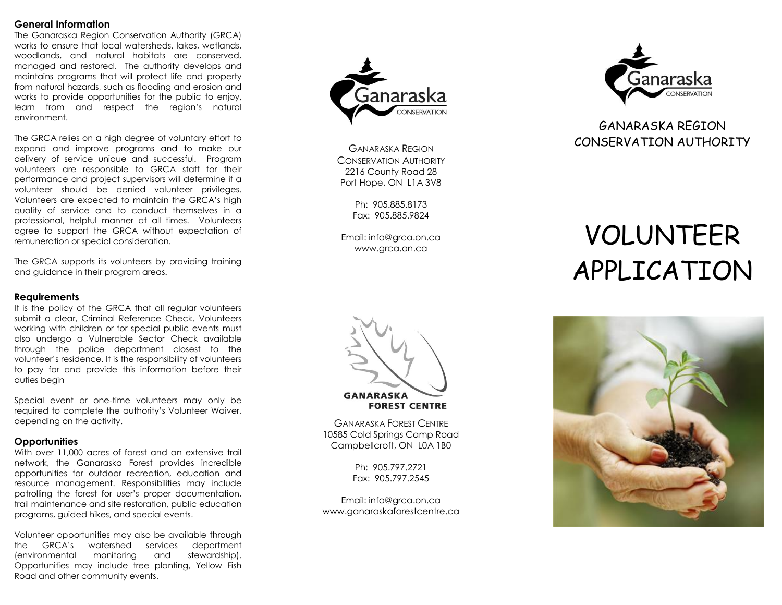#### **General Information**

The Ganaraska Region Conservation Authority (GRCA) works to ensure that local watersheds, lakes, wetlands, woodlands, and natural habitats are conserved, managed and restored. The authority develops and maintains programs that will protect life and property from natural hazards, such as flooding and erosion and works to provide opportunities for the public to enjoy, learn from and respect the region's natural environment.

The GRCA relies on a high degree of voluntary effort to expand and improve programs and to make our delivery of service unique and successful. Program volunteers are responsible to GRCA staff for their performance and project supervisors will determine if a volunteer should be denied volunteer privileges. Volunteers are expected to maintain the GRCA's high quality of service and to conduct themselves in a professional, helpful manner at all times. Volunteers agree to support the GRCA without expectation of remuneration or special consideration.

The GRCA supports its volunteers by providing training and guidance in their program areas.

#### **Requirements**

It is the policy of the GRCA that all regular volunteers submit a clear, Criminal Reference Check. Volunteers working with children or for special public events must also undergo a Vulnerable Sector Check available through the police department closest to the volunteer's residence. It is the responsibility of volunteers to pay for and provide this information before their duties begin

Special event or one -time volunteers may only be required to complete the authority's Volunteer Waiver, depending on the activity.

#### **Opportunities**

With over 11,000 acres of forest and an extensive trail network, the Ganaraska Forest provides incredible opportunities for outdoor recreation, education and resource management. Responsibilities may include patrolling the forest for user's proper documentation, trail maintenance and site restoration, public education programs, guided hikes, and special events.

Volunteer opportunities may also be available through the GRCA's watershed services department (environmental monitoring and stewardship). Opportunities may include tree planting, Yellow Fish Road and other community events.



GANARASKA REGION CONSERVATION AUTHORITY 2216 County Road 28 Port Hope, ON L1A 3V8

> Ph: 905.885.8173 Fax: 905.885.9824

Email: info@grca.on.ca www.grca.on.ca



GANARASKA FOREST CENTRE 10585 Cold Springs Camp Road Campbellcroft, ON L0A 1B0

> Ph: 905.797.2721 Fax: 905.797.2545

Email: info@grca.on.ca www.ganaraskaforestcentre.ca



## GANARASKA REGION CONSERVATION AUTHORITY

# VOLUNTEER APPLICATION

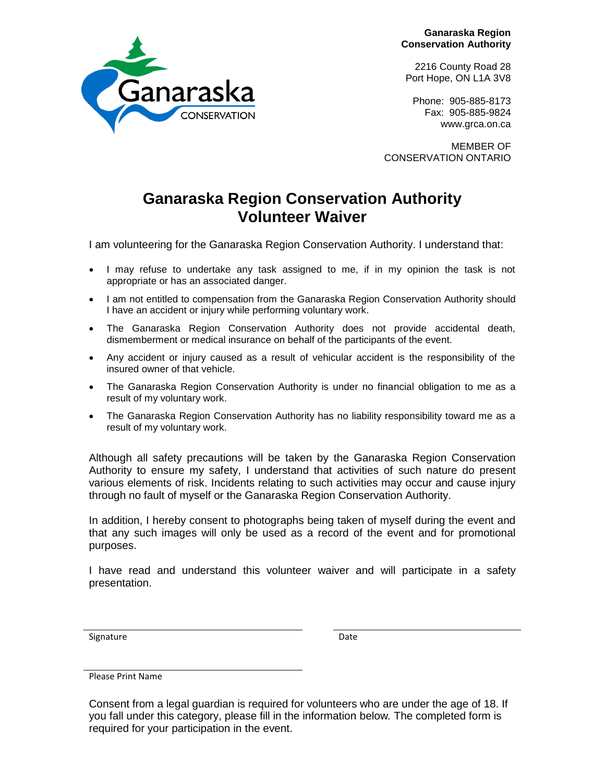**Ganaraska Region Conservation Authority**

2216 County Road 28 Port Hope, ON L1A 3V8

Phone: 905-885-8173 Fax: 905-885-9824 www.grca.on.ca

MEMBER OF CONSERVATION ONTARIO

## **Ganaraska Region Conservation Authority Volunteer Waiver**

I am volunteering for the Ganaraska Region Conservation Authority. I understand that:

- I may refuse to undertake any task assigned to me, if in my opinion the task is not appropriate or has an associated danger.
- I am not entitled to compensation from the Ganaraska Region Conservation Authority should I have an accident or injury while performing voluntary work.
- The Ganaraska Region Conservation Authority does not provide accidental death, dismemberment or medical insurance on behalf of the participants of the event.
- Any accident or injury caused as a result of vehicular accident is the responsibility of the insured owner of that vehicle.
- The Ganaraska Region Conservation Authority is under no financial obligation to me as a result of my voluntary work.
- The Ganaraska Region Conservation Authority has no liability responsibility toward me as a result of my voluntary work.

Although all safety precautions will be taken by the Ganaraska Region Conservation Authority to ensure my safety, I understand that activities of such nature do present various elements of risk. Incidents relating to such activities may occur and cause injury through no fault of myself or the Ganaraska Region Conservation Authority.

In addition, I hereby consent to photographs being taken of myself during the event and that any such images will only be used as a record of the event and for promotional purposes.

I have read and understand this volunteer waiver and will participate in a safety presentation.

Signature Date Date

Please Print Name



Consent from a legal guardian is required for volunteers who are under the age of 18. If you fall under this category, please fill in the information below*.* The completed form is required for your participation in the event.